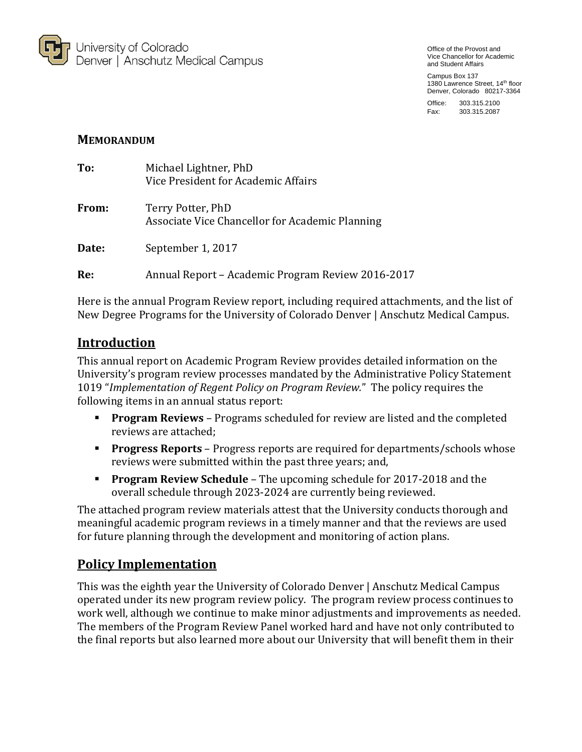

Office of the Provost and Vice Chancellor for Academic and Student Affairs

Campus Box 137 1380 Lawrence Street, 14<sup>th</sup> floor Denver, Colorado 80217-3364

Office: 303.315.2100 Fax: 303.315.2087

## **MEMORANDUM**

| To:   | Michael Lightner, PhD<br>Vice President for Academic Affairs         |
|-------|----------------------------------------------------------------------|
| From: | Terry Potter, PhD<br>Associate Vice Chancellor for Academic Planning |
| Date: | September 1, 2017                                                    |
| Re:   | Annual Report – Academic Program Review 2016-2017                    |

Here is the annual Program Review report, including required attachments, and the list of New Degree Programs for the University of Colorado Denver | Anschutz Medical Campus.

# **Introduction**

This annual report on Academic Program Review provides detailed information on the University's program review processes mandated by the Administrative Policy Statement 1019 "*Implementation of Regent Policy on Program Review.*" The policy requires the following items in an annual status report:

- **Program Reviews** Programs scheduled for review are listed and the completed reviews are attached;
- **Progress Reports** Progress reports are required for departments/schools whose reviews were submitted within the past three years; and,
- **Program Review Schedule** The upcoming schedule for 2017-2018 and the overall schedule through 2023-2024 are currently being reviewed.

The attached program review materials attest that the University conducts thorough and meaningful academic program reviews in a timely manner and that the reviews are used for future planning through the development and monitoring of action plans.

# **Policy Implementation**

This was the eighth year the University of Colorado Denver | Anschutz Medical Campus operated under its new program review policy. The program review process continues to work well, although we continue to make minor adjustments and improvements as needed. The members of the Program Review Panel worked hard and have not only contributed to the final reports but also learned more about our University that will benefit them in their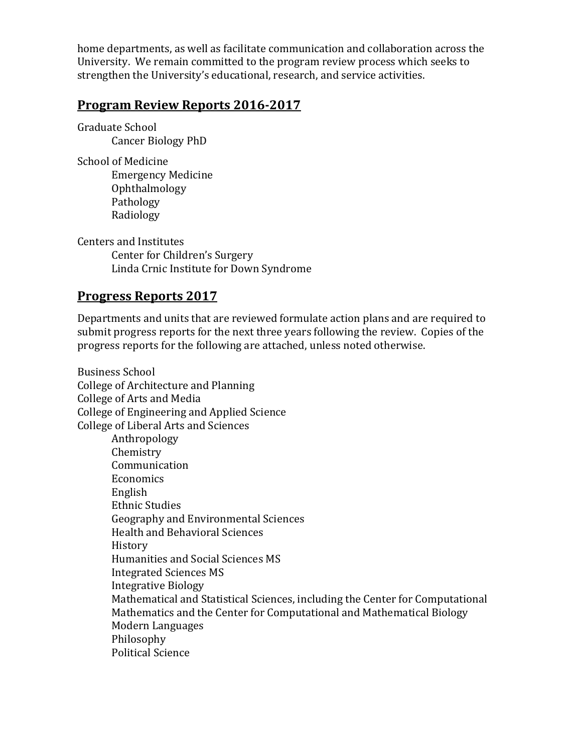home departments, as well as facilitate communication and collaboration across the University. We remain committed to the program review process which seeks to strengthen the University's educational, research, and service activities.

## **Program Review Reports 2016-2017**

Graduate School Cancer Biology PhD

School of Medicine Emergency Medicine Ophthalmology Pathology Radiology

Centers and Institutes Center for Children's Surgery Linda Crnic Institute for Down Syndrome

# **Progress Reports 2017**

Departments and units that are reviewed formulate action plans and are required to submit progress reports for the next three years following the review. Copies of the progress reports for the following are attached, unless noted otherwise.

Business School College of Architecture and Planning College of Arts and Media College of Engineering and Applied Science College of Liberal Arts and Sciences Anthropology Chemistry Communication Economics English Ethnic Studies Geography and Environmental Sciences Health and Behavioral Sciences History Humanities and Social Sciences MS Integrated Sciences MS Integrative Biology Mathematical and Statistical Sciences, including the Center for Computational Mathematics and the Center for Computational and Mathematical Biology Modern Languages Philosophy Political Science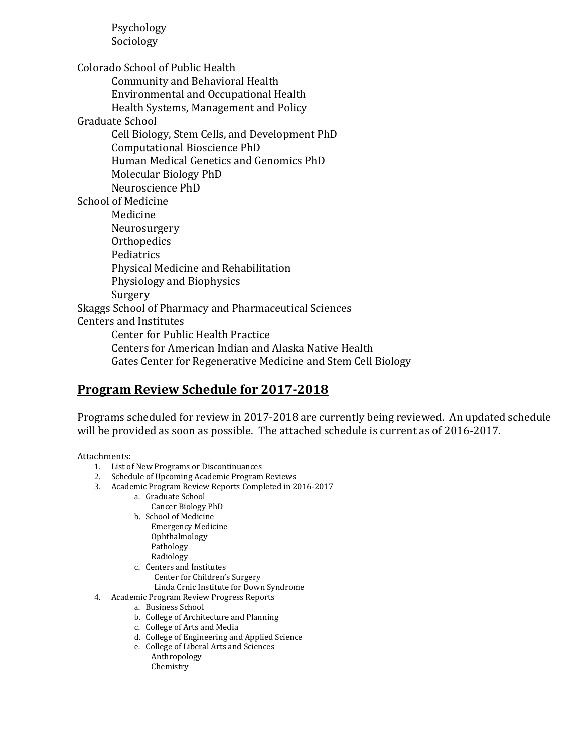Psychology Sociology

Colorado School of Public Health

Community and Behavioral Health

Environmental and Occupational Health

Health Systems, Management and Policy

Graduate School

Cell Biology, Stem Cells, and Development PhD Computational Bioscience PhD Human Medical Genetics and Genomics PhD Molecular Biology PhD

Neuroscience PhD

School of Medicine

Medicine Neurosurgery **Orthopedics** Pediatrics Physical Medicine and Rehabilitation Physiology and Biophysics Surgery Skaggs School of Pharmacy and Pharmaceutical Sciences Centers and Institutes Center for Public Health Practice Centers for American Indian and Alaska Native Health

Gates Center for Regenerative Medicine and Stem Cell Biology

# **Program Review Schedule for 2017-2018**

Programs scheduled for review in 2017-2018 are currently being reviewed. An updated schedule will be provided as soon as possible. The attached schedule is current as of 2016-2017.

Attachments:

- 1. List of New Programs or Discontinuances
- 2. Schedule of Upcoming Academic Program Reviews
- 3. Academic Program Review Reports Completed in 2016-2017
	- a. Graduate School
		- Cancer Biology PhD
		- b. School of Medicine
			- Emergency Medicine
			- Ophthalmology Pathology
			- Radiology
	- c. Centers and Institutes Center for Children's Surgery Linda Crnic Institute for Down Syndrome
- 4. Academic Program Review Progress Reports
	- a. Business School
		- b. College of Architecture and Planning
		- c. College of Arts and Media
		- d. College of Engineering and Applied Science
		- e. College of Liberal Arts and Sciences
			- Anthropology Chemistry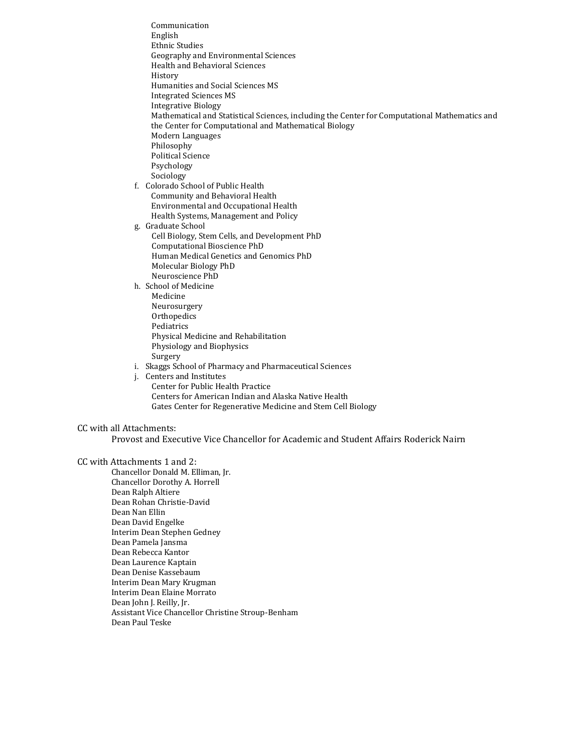Communication English Ethnic Studies Geography and Environmental Sciences Health and Behavioral Sciences History Humanities and Social Sciences MS Integrated Sciences MS Integrative Biology Mathematical and Statistical Sciences, including the Center for Computational Mathematics and the Center for Computational and Mathematical Biology Modern Languages Philosophy Political Science Psychology Sociology f. Colorado School of Public Health Community and Behavioral Health

Environmental and Occupational Health Health Systems, Management and Policy g. Graduate School

Cell Biology, Stem Cells, and Development PhD Computational Bioscience PhD Human Medical Genetics and Genomics PhD Molecular Biology PhD Neuroscience PhD

h. School of Medicine

- Medicine Neurosurgery **Orthopedics** Pediatrics Physical Medicine and Rehabilitation Physiology and Biophysics Surgery
- i. Skaggs School of Pharmacy and Pharmaceutical Sciences
- j. Centers and Institutes Center for Public Health Practice Centers for American Indian and Alaska Native Health Gates Center for Regenerative Medicine and Stem Cell Biology

#### CC with all Attachments:

Provost and Executive Vice Chancellor for Academic and Student Affairs Roderick Nairn

#### CC with Attachments 1 and 2:

Chancellor Donald M. Elliman, Jr. Chancellor Dorothy A. Horrell Dean Ralph Altiere Dean Rohan Christie-David Dean Nan Ellin Dean David Engelke Interim Dean Stephen Gedney Dean Pamela Jansma Dean Rebecca Kantor Dean Laurence Kaptain Dean Denise Kassebaum Interim Dean Mary Krugman Interim Dean Elaine Morrato Dean John J. Reilly, Jr. Assistant Vice Chancellor Christine Stroup-Benham Dean Paul Teske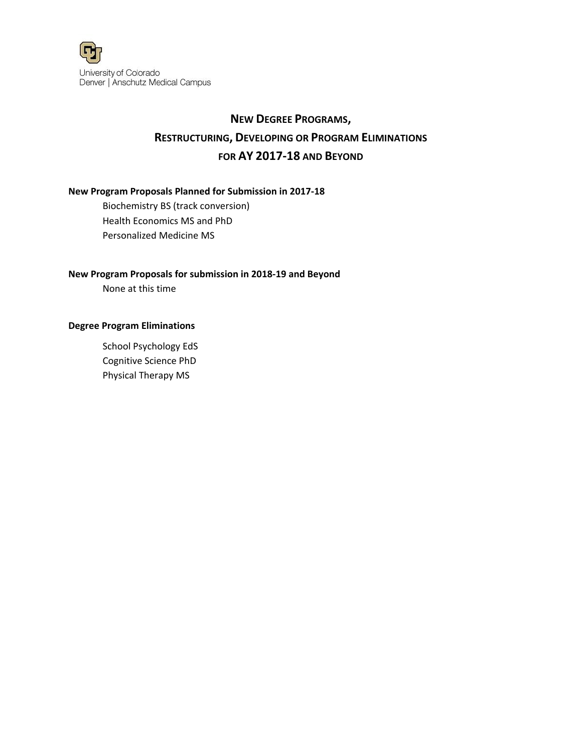

# **NEW DEGREE PROGRAMS, RESTRUCTURING, DEVELOPING OR PROGRAM ELIMINATIONS FOR AY 2017‐18 AND BEYOND**

## **New Program Proposals Planned for Submission in 2017‐18**

Biochemistry BS (track conversion) Health Economics MS and PhD Personalized Medicine MS

## **New Program Proposals for submission in 2018‐19 and Beyond**

None at this time

## **Degree Program Eliminations**

School Psychology EdS Cognitive Science PhD Physical Therapy MS